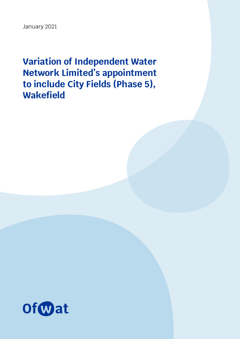January 2021

**Variation of Independent Water Network Limited's appointment to include City Fields (Phase 5), Wakefield**

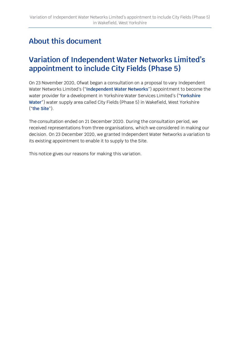## **About this document**

### **Variation of Independent Water Networks Limited's appointment to include City Fields (Phase 5)**

On 23 November 2020, Ofwat began a consultation on a proposal to vary Independent Water Networks Limited's ("**Independent Water Networks**") appointment to become the water provider for a development in Yorkshire Water Services Limited's ("**Yorkshire Water**") water supply area called City Fields (Phase 5) in Wakefield, West Yorkshire ("**the Site**").

The consultation ended on 21 December 2020. During the consultation period, we received representations from three organisations, which we considered in making our decision. On 23 December 2020, we granted Independent Water Networks a variation to its existing appointment to enable it to supply to the Site.

This notice gives our reasons for making this variation.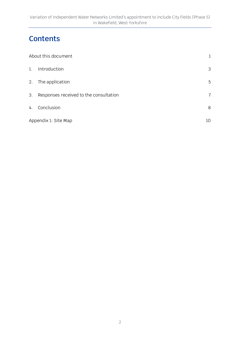## **Contents**

| About this document  |                                        | 1              |
|----------------------|----------------------------------------|----------------|
| 1.                   | Introduction                           | 3              |
| 2.                   | The application                        | 5              |
| 3.                   | Responses received to the consultation | $\overline{7}$ |
| 4.                   | Conclusion                             | 8              |
| Appendix 1: Site Map |                                        | 10             |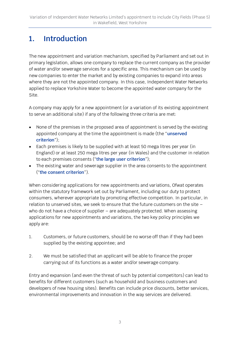## **1. Introduction**

The new appointment and variation mechanism, specified by Parliament and set out in primary legislation, allows one company to replace the current company as the provider of water and/or sewerage services for a specific area. This mechanism can be used by new companies to enter the market and by existing companies to expand into areas where they are not the appointed company. In this case, Independent Water Networks applied to replace Yorkshire Water to become the appointed water company for the Site.

A company may apply for a new appointment (or a variation of its existing appointment to serve an additional site) if any of the following three criteria are met:

- None of the premises in the proposed area of appointment is served by the existing appointed company at the time the appointment is made (the "**unserved criterion**");
- Each premises is likely to be supplied with at least 50 mega litres per year (in England) or at least 250 mega litres per year (in Wales) and the customer in relation to each premises consents ("**the large user criterion**");
- The existing water and sewerage supplier in the area consents to the appointment ("**the consent criterion**").

When considering applications for new appointments and variations, Ofwat operates within the statutory framework set out by Parliament, including our duty to protect consumers, wherever appropriate by promoting effective competition. In particular, in relation to unserved sites, we seek to ensure that the future customers on the site – who do not have a choice of supplier – are adequately protected. When assessing applications for new appointments and variations, the two key policy principles we apply are:

- 1. Customers, or future customers, should be no worse off than if they had been supplied by the existing appointee; and
- 2. We must be satisfied that an applicant will be able to finance the proper carrying out of its functions as a water and/or sewerage company.

Entry and expansion (and even the threat of such by potential competitors) can lead to benefits for different customers (such as household and business customers and developers of new housing sites). Benefits can include price discounts, better services, environmental improvements and innovation in the way services are delivered.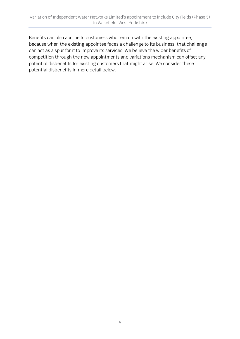Benefits can also accrue to customers who remain with the existing appointee, because when the existing appointee faces a challenge to its business, that challenge can act as a spur for it to improve its services. We believe the wider benefits of competition through the new appointments and variations mechanism can offset any potential disbenefits for existing customers that might arise. We consider these potential disbenefits in more detail below.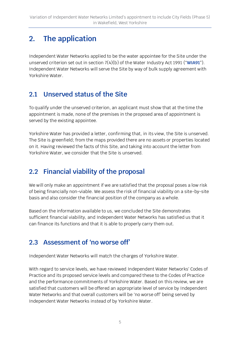# **2. The application**

Independent Water Networks applied to be the water appointee for the Site under the unserved criterion set out in section 7(4)(b) of the Water Industry Act 1991 ("**WIA91**"). Independent Water Networks will serve the Site by way of bulk supply agreement with Yorkshire Water.

### **2.1 Unserved status of the Site**

To qualify under the unserved criterion, an applicant must show that at the time the appointment is made, none of the premises in the proposed area of appointment is served by the existing appointee.

Yorkshire Water has provided a letter, confirming that, in its view, the Site is unserved. The Site is greenfield; from the maps provided there are no assets or properties located on it. Having reviewed the facts of this Site, and taking into account the letter from Yorkshire Water, we consider that the Site is unserved.

### **2.2 Financial viability of the proposal**

We will only make an appointment if we are satisfied that the proposal poses a low risk of being financially non-viable. We assess the risk of financial viability on a site-by-site basis and also consider the financial position of the company as a whole.

Based on the information available to us, we concluded the Site demonstrates sufficient financial viability, and Independent Water Networks has satisfied us that it can finance its functions and that it is able to properly carry them out.

### **2.3 Assessment of 'no worse off'**

Independent Water Networks will match the charges of Yorkshire Water.

With regard to service levels, we have reviewed Independent Water Networks' Codes of Practice and its proposed service levels and compared these to the Codes of Practice and the performance commitments of Yorkshire Water. Based on this review, we are satisfied that customers will be offered an appropriate level of service by Independent Water Networks and that overall customers will be 'no worse off' being served by Independent Water Networks instead of by Yorkshire Water.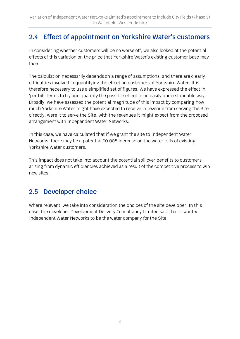### **2.4 Effect of appointment on Yorkshire Water's customers**

In considering whether customers will be no worse off, we also looked at the potential effects of this variation on the price that Yorkshire Water's existing customer base may face.

The calculation necessarily depends on a range of assumptions, and there are clearly difficulties involved in quantifying the effect on customers of Yorkshire Water. It is therefore necessary to use a simplified set of figures. We have expressed the effect in 'per bill' terms to try and quantify the possible effect in an easily understandable way. Broadly, we have assessed the potential magnitude of this impact by comparing how much Yorkshire Water might have expected to receive in revenue from serving the Site directly, were it to serve the Site, with the revenues it might expect from the proposed arrangement with Independent Water Networks.

In this case, we have calculated that if we grant the site to Independent Water Networks, there may be a potential £0.005 increase on the water bills of existing Yorkshire Water customers.

This impact does not take into account the potential spillover benefits to customers arising from dynamic efficiencies achieved as a result of the competitive process to win new sites.

#### **2.5 Developer choice**

Where relevant, we take into consideration the choices of the site developer. In this case, the developer Development Delivery Consultancy Limited said that it wanted Independent Water Networks to be the water company for the Site.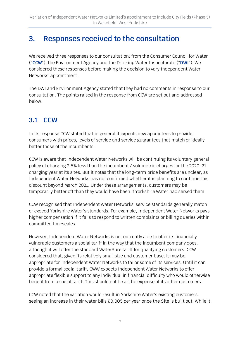### **3. Responses received to the consultation**

We received three responses to our consultation: from the Consumer Council for Water ("**CCW**"), the Environment Agency and the Drinking Water Inspectorate ("**DWI**"). We considered these responses before making the decision to vary Independent Water Networks' appointment.

The DWI and Environment Agency stated that they had no comments in response to our consultation. The points raised in the response from CCW are set out and addressed below.

#### **3.1 CCW**

In its response CCW stated that in general it expects new appointees to provide consumers with prices, levels of service and service guarantees that match or ideally better those of the incumbents.

CCW is aware that Independent Water Networks will be continuing its voluntary general policy of charging 2.5% less than the incumbents' volumetric charges for the 2020-21 charging year at its sites. But it notes that the long-term price benefits are unclear, as Independent Water Networks has not confirmed whether it is planning to continue this discount beyond March 2021. Under these arrangements, customers may be temporarily better off than they would have been if Yorkshire Water had served them

CCW recognised that Independent Water Networks' service standards generally match or exceed Yorkshire Water's standards. For example, Independent Water Networks pays higher compensation if it fails to respond to written complaints or billing queries within committed timescales.

However, Independent Water Networks is not currently able to offer its financially vulnerable customers a social tariff in the way that the incumbent company does, although it will offer the standard WaterSure tariff for qualifying customers. CCW considered that, given its relatively small size and customer base, it may be appropriate for Independent Water Networks to tailor some of its services. Until it can provide a formal social tariff, CWW expects Independent Water Networks to offer appropriate flexible support to any individual in financial difficulty who would otherwise benefit from a social tariff. This should not be at the expense of its other customers.

CCW noted that the variation would result in Yorkshire Water's existing customers seeing an increase in their water bills £0.005 per year once the Site is built out. While it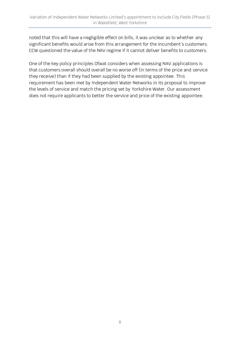noted that this will have a negligible effect on bills, it was unclear as to whether any significant benefits would arise from this arrangement for the incumbent's customers. CCW questioned the value of the NAV regime if it cannot deliver benefits to customers.

One of the key policy principles Ofwat considers when assessing NAV applications is that customers overall should overall be no worse off (in terms of the price and service they receive) than if they had been supplied by the existing appointee. This requirement has been met by Independent Water Networks in its proposal to improve the levels of service and match the pricing set by Yorkshire Water. Our assessment does not require applicants to better the service and price of the existing appointee.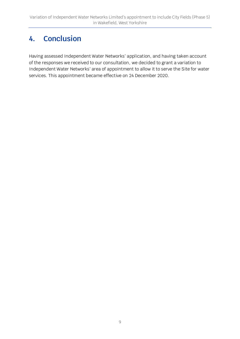## **4. Conclusion**

Having assessed Independent Water Networks' application, and having taken account of the responses we received to our consultation, we decided to grant a variation to Independent Water Networks' area of appointment to allow it to serve the Site for water services. This appointment became effective on 24 December 2020.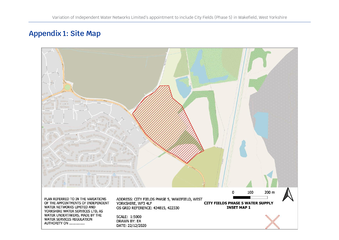### **Appendix 1: Site Map**